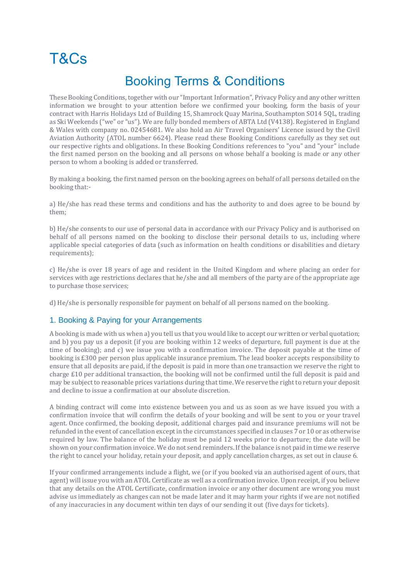# T&Cs

## Booking Terms & Conditions

These Booking Conditions, together with our "Important Information", Privacy Policy and any other written information we brought to your attention before we confirmed your booking, form the basis of your contract with Harris Holidays Ltd of Building 15, Shamrock Quay Marina, Southampton SO14 5QL, trading as Ski Weekends ("we" or "us"). We are fully bonded members of ABTA Ltd (V4138). Registered in England & Wales with company no. 02454681. We also hold an Air Travel Organisers' Licence issued by the Civil Aviation Authority (ATOL number 6624). Please read these Booking Conditions carefully as they set out our respective rights and obligations. In these Booking Conditions references to "you" and "your" include the first named person on the booking and all persons on whose behalf a booking is made or any other person to whom a booking is added or transferred.

By making a booking, the first named person on the booking agrees on behalf of all persons detailed on the booking that:-

a) He/she has read these terms and conditions and has the authority to and does agree to be bound by them;

b) He/she consents to our use of personal data in accordance with our Privacy Policy and is authorised on behalf of all persons named on the booking to disclose their personal details to us, including where applicable special categories of data (such as information on health conditions or disabilities and dietary requirements);

c) He/she is over 18 years of age and resident in the United Kingdom and where placing an order for services with age restrictions declares that he/she and all members of the party are of the appropriate age to purchase those services;

d) He/she is personally responsible for payment on behalf of all persons named on the booking.

#### 1. Booking & Paying for your Arrangements

A booking is made with us when a) you tell us that you would like to accept our written or verbal quotation; and b) you pay us a deposit (if you are booking within 12 weeks of departure, full payment is due at the time of booking); and c) we issue you with a confirmation invoice. The deposit payable at the time of booking is £300 per person plus applicable insurance premium. The lead booker accepts responsibility to ensure that all deposits are paid, if the deposit is paid in more than one transaction we reserve the right to charge £10 per additional transaction, the booking will not be confirmed until the full deposit is paid and may be subject to reasonable prices variations during that time. We reserve the right to return your deposit and decline to issue a confirmation at our absolute discretion.

A binding contract will come into existence between you and us as soon as we have issued you with a confirmation invoice that will confirm the details of your booking and will be sent to you or your travel agent. Once confirmed, the booking deposit, additional charges paid and insurance premiums will not be refunded in the event of cancellation except in the circumstances specified in clauses 7 or 10 or as otherwise required by law. The balance of the holiday must be paid 12 weeks prior to departure; the date will be shown on your confirmation invoice. We do not send reminders. If the balance is not paid in time we reserve the right to cancel your holiday, retain your deposit, and apply cancellation charges, as set out in clause 6.

If your confirmed arrangements include a flight, we (or if you booked via an authorised agent of ours, that agent) will issue you with an ATOL Certificate as well as a confirmation invoice. Upon receipt, if you believe that any details on the ATOL Certificate, confirmation invoice or any other document are wrong you must advise us immediately as changes can not be made later and it may harm your rights if we are not notified of any inaccuracies in any document within ten days of our sending it out (five days for tickets).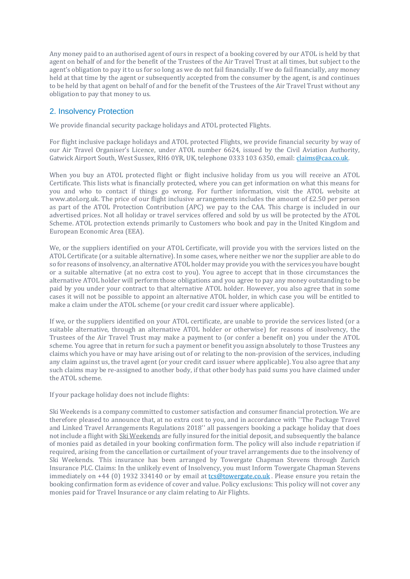Any money paid to an authorised agent of ours in respect of a booking covered by our ATOL is held by that agent on behalf of and for the benefit of the Trustees of the Air Travel Trust at all times, but subject to the agent's obligation to pay it to us for so long as we do not fail financially. If we do fail financially, any money held at that time by the agent or subsequently accepted from the consumer by the agent, is and continues to be held by that agent on behalf of and for the benefit of the Trustees of the Air Travel Trust without any obligation to pay that money to us.

#### 2. Insolvency Protection

We provide financial security package holidays and ATOL protected Flights.

For flight inclusive package holidays and ATOL protected Flights, we provide financial security by way of our Air Travel Organiser's Licence, under ATOL number 6624, issued by the Civil Aviation Authority, Gatwick Airport South, West Sussex, RH6 0YR, UK, telephone 0333 103 6350, email: [claims@caa.co.uk.](mailto:claims@caa.co.uk)

When you buy an ATOL protected flight or flight inclusive holiday from us you will receive an ATOL Certificate. This lists what is financially protected, where you can get information on what this means for you and who to contact if things go wrong. For further information, visit the ATOL website at www.atol.org.uk. The price of our flight inclusive arrangements includes the amount of £2.50 per person as part of the ATOL Protection Contribution (APC) we pay to the CAA. This charge is included in our advertised prices. Not all holiday or travel services offered and sold by us will be protected by the ATOL Scheme. ATOL protection extends primarily to Customers who book and pay in the United Kingdom and European Economic Area (EEA).

We, or the suppliers identified on your ATOL Certificate, will provide you with the services listed on the ATOL Certificate (or a suitable alternative). In some cases, where neither we nor the supplier are able to do so for reasons of insolvency, an alternative ATOL holder may provide you with the services you have bought or a suitable alternative (at no extra cost to you). You agree to accept that in those circumstances the alternative ATOL holder will perform those obligations and you agree to pay any money outstanding to be paid by you under your contract to that alternative ATOL holder. However, you also agree that in some cases it will not be possible to appoint an alternative ATOL holder, in which case you will be entitled to make a claim under the ATOL scheme (or your credit card issuer where applicable).

If we, or the suppliers identified on your ATOL certificate, are unable to provide the services listed (or a suitable alternative, through an alternative ATOL holder or otherwise) for reasons of insolvency, the Trustees of the Air Travel Trust may make a payment to (or confer a benefit on) you under the ATOL scheme. You agree that in return for such a payment or benefit you assign absolutely to those Trustees any claims which you have or may have arising out of or relating to the non-provision of the services, including any claim against us, the travel agent (or your credit card issuer where applicable). You also agree that any such claims may be re-assigned to another body, if that other body has paid sums you have claimed under the ATOL scheme.

If your package holiday does not include flights:

Ski Weekends is a company committed to customer satisfaction and consumer financial protection. We are therefore pleased to announce that, at no extra cost to you, and in accordance with ''The Package Travel and Linked Travel Arrangements Regulations 2018'' all passengers booking a package holiday that does not include a flight with Ski Weekends are fully insured for the initial deposit, and subsequently the balance of monies paid as detailed in your booking confirmation form. The policy will also include repatriation if required, arising from the cancellation or curtailment of your travel arrangements due to the insolvency of Ski Weekends. This insurance has been arranged by Towergate Chapman Stevens through Zurich Insurance PLC. Claims: In the unlikely event of Insolvency, you must Inform Towergate Chapman Stevens immediately on +44 (0) 1932 334140 or by email at [tcs@towergate.co.uk](mailto:tcs@towergate.co.uk). Please ensure you retain the booking confirmation form as evidence of cover and value. Policy exclusions: This policy will not cover any monies paid for Travel Insurance or any claim relating to Air Flights.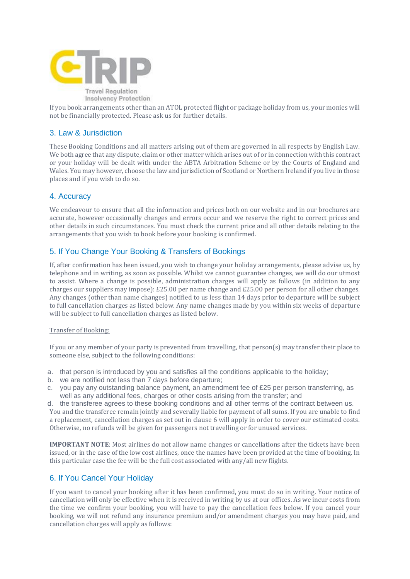

If you book arrangements other than an ATOL protected flight or package holiday from us, your monies will not be financially protected. Please ask us for further details.

#### 3. Law & Jurisdiction

These Booking Conditions and all matters arising out of them are governed in all respects by English Law. We both agree that any dispute, claim or other matter which arises out of or in connection with this contract or your holiday will be dealt with under the ABTA Arbitration Scheme or by the Courts of England and Wales. You may however, choose the law and jurisdiction of Scotland or Northern Ireland if you live in those places and if you wish to do so.

## 4. Accuracy

We endeavour to ensure that all the information and prices both on our website and in our brochures are accurate, however occasionally changes and errors occur and we reserve the right to correct prices and other details in such circumstances. You must check the current price and all other details relating to the arrangements that you wish to book before your booking is confirmed.

## 5. If You Change Your Booking & Transfers of Bookings

If, after confirmation has been issued, you wish to change your holiday arrangements, please advise us, by telephone and in writing, as soon as possible. Whilst we cannot guarantee changes, we will do our utmost to assist. Where a change is possible, administration charges will apply as follows (in addition to any charges our suppliers may impose): £25.00 per name change and £25.00 per person for all other changes. Any changes (other than name changes) notified to us less than 14 days prior to departure will be subject to full cancellation charges as listed below. Any name changes made by you within six weeks of departure will be subject to full cancellation charges as listed below.

#### Transfer of Booking:

If you or any member of your party is prevented from travelling, that person(s) may transfer their place to someone else, subject to the following conditions:

- a. that person is introduced by you and satisfies all the conditions applicable to the holiday;
- b. we are notified not less than 7 days before departure;
- c. you pay any outstanding balance payment, an amendment fee of £25 per person transferring, as well as any additional fees, charges or other costs arising from the transfer; and

d. the transferee agrees to these booking conditions and all other terms of the contract between us. You and the transferee remain jointly and severally liable for payment of all sums. If you are unable to find a replacement, cancellation charges as set out in clause 6 will apply in order to cover our estimated costs. Otherwise, no refunds will be given for passengers not travelling or for unused services.

**IMPORTANT NOTE**: Most airlines do not allow name changes or cancellations after the tickets have been issued, or in the case of the low cost airlines, once the names have been provided at the time of booking. In this particular case the fee will be the full cost associated with any/all new flights.

#### 6. If You Cancel Your Holiday

If you want to cancel your booking after it has been confirmed, you must do so in writing. Your notice of cancellation will only be effective when it is received in writing by us at our offices. As we incur costs from the time we confirm your booking, you will have to pay the cancellation fees below. If you cancel your booking, we will not refund any insurance premium and/or amendment charges you may have paid, and cancellation charges will apply as follows: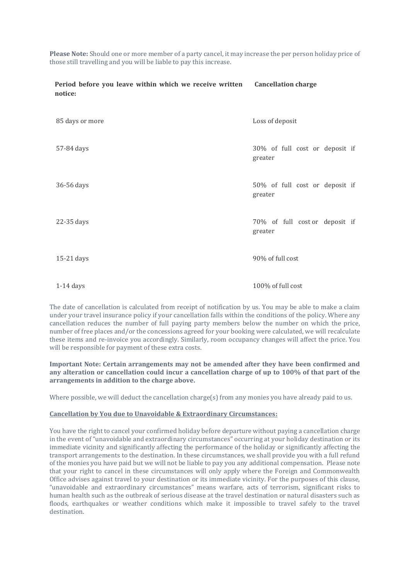**Please Note:** Should one or more member of a party cancel, it may increase the per person holiday price of those still travelling and you will be liable to pay this increase.

| Period before you leave within which we receive written Cancellation charge<br>notice: |                                           |
|----------------------------------------------------------------------------------------|-------------------------------------------|
| 85 days or more                                                                        | Loss of deposit                           |
| 57-84 days                                                                             | 30% of full cost or deposit if<br>greater |
| 36-56 days                                                                             | 50% of full cost or deposit if<br>greater |
| 22-35 days                                                                             | 70% of full costor deposit if<br>greater  |
| 15-21 days                                                                             | 90% of full cost                          |
| $1-14$ days                                                                            | 100% of full cost                         |

The date of cancellation is calculated from receipt of notification by us. You may be able to make a claim under your travel insurance policy if your cancellation falls within the conditions of the policy. Where any cancellation reduces the number of full paying party members below the number on which the price, number of free places and/or the concessions agreed for your booking were calculated, we will recalculate these items and re-invoice you accordingly. Similarly, room occupancy changes will affect the price. You will be responsible for payment of these extra costs.

#### **Important Note: Certain arrangements may not be amended after they have been confirmed and any alteration or cancellation could incur a cancellation charge of up to 100% of that part of the arrangements in addition to the charge above.**

Where possible, we will deduct the cancellation charge(s) from any monies you have already paid to us.

#### **Cancellation by You due to Unavoidable & Extraordinary Circumstances:**

You have the right to cancel your confirmed holiday before departure without paying a cancellation charge in the event of "unavoidable and extraordinary circumstances" occurring at your holiday destination or its immediate vicinity and significantly affecting the performance of the holiday or significantly affecting the transport arrangements to the destination. In these circumstances, we shall provide you with a full refund of the monies you have paid but we will not be liable to pay you any additional compensation. Please note that your right to cancel in these circumstances will only apply where the Foreign and Commonwealth Office advises against travel to your destination or its immediate vicinity. For the purposes of this clause, "unavoidable and extraordinary circumstances" means warfare, acts of terrorism, significant risks to human health such as the outbreak of serious disease at the travel destination or natural disasters such as floods, earthquakes or weather conditions which make it impossible to travel safely to the travel destination.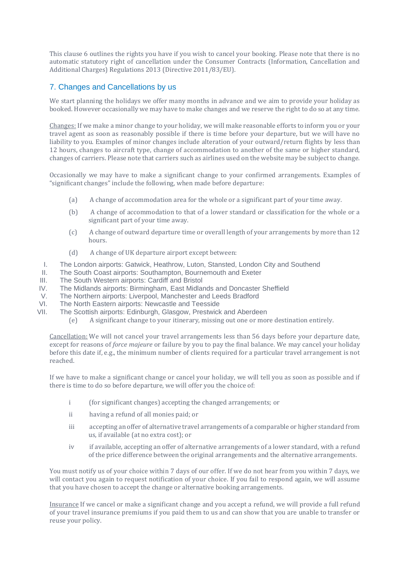This clause 6 outlines the rights you have if you wish to cancel your booking. Please note that there is no automatic statutory right of cancellation under the Consumer Contracts (Information, Cancellation and Additional Charges) Regulations 2013 (Directive 2011/83/EU).

## 7. Changes and Cancellations by us

We start planning the holidays we offer many months in advance and we aim to provide your holiday as booked. However occasionally we may have to make changes and we reserve the right to do so at any time.

Changes: If we make a minor change to your holiday, we will make reasonable efforts to inform you or your travel agent as soon as reasonably possible if there is time before your departure, but we will have no liability to you. Examples of minor changes include alteration of your outward/return flights by less than 12 hours, changes to aircraft type, change of accommodation to another of the same or higher standard, changes of carriers. Please note that carriers such as airlines used on the website may be subject to change.

Occasionally we may have to make a significant change to your confirmed arrangements. Examples of "significant changes" include the following, when made before departure:

- (a) A change of accommodation area for the whole or a significant part of your time away.
- (b) A change of accommodation to that of a lower standard or classification for the whole or a significant part of your time away.
- (c) A change of outward departure time or overall length of your arrangements by more than 12 hours.
- (d) A change of UK departure airport except between:
- I. The London airports: Gatwick, Heathrow, Luton, Stansted, London City and Southend
- II. The South Coast airports: Southampton, Bournemouth and Exeter
- III. The South Western airports: Cardiff and Bristol
- IV. The Midlands airports: Birmingham, East Midlands and Doncaster Sheffield
- V. The Northern airports: Liverpool, Manchester and Leeds Bradford
- VI. The North Eastern airports: Newcastle and Teesside
- VII. The Scottish airports: Edinburgh, Glasgow, Prestwick and Aberdeen
	- (e) A significant change to your itinerary, missing out one or more destination entirely.

Cancellation: We will not cancel your travel arrangements less than 56 days before your departure date, except for reasons of *force majeure* or failure by you to pay the final balance. We may cancel your holiday before this date if, e.g., the minimum number of clients required for a particular travel arrangement is not reached.

If we have to make a significant change or cancel your holiday, we will tell you as soon as possible and if there is time to do so before departure, we will offer you the choice of:

- i (for significant changes) accepting the changed arrangements; or
- ii having a refund of all monies paid; or
- iii accepting an offer of alternative travel arrangements of a comparable or higher standard from us, if available (at no extra cost); or
- iv if available, accepting an offer of alternative arrangements of a lower standard, with a refund of the price difference between the original arrangements and the alternative arrangements.

You must notify us of your choice within 7 days of our offer. If we do not hear from you within 7 days, we will contact you again to request notification of your choice. If you fail to respond again, we will assume that you have chosen to accept the change or alternative booking arrangements.

Insurance If we cancel or make a significant change and you accept a refund, we will provide a full refund of your travel insurance premiums if you paid them to us and can show that you are unable to transfer or reuse your policy.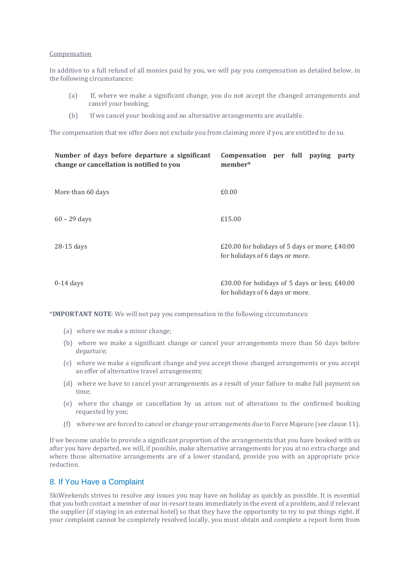#### **Compensation**

In addition to a full refund of all monies paid by you, we will pay you compensation as detailed below, in the following circumstances:

- (a) If, where we make a significant change, you do not accept the changed arrangements and cancel your booking;
- (b) If we cancel your booking and no alternative arrangements are available.

The compensation that we offer does not exclude you from claiming more if you are entitled to do so.

| Number of days before departure a significant<br>change or cancellation is notified to you | Compensation per full paying<br>party<br>member*                                 |
|--------------------------------------------------------------------------------------------|----------------------------------------------------------------------------------|
| More than 60 days                                                                          | £0.00                                                                            |
| $60 - 29$ days                                                                             | £15.00                                                                           |
| 28-15 days                                                                                 | £20.00 for holidays of 5 days or more; £40.00<br>for holidays of 6 days or more. |
| $0-14$ days                                                                                | £30.00 for holidays of 5 days or less; £40.00<br>for holidays of 6 days or more. |

\***IMPORTANT NOTE**: We will not pay you compensation in the following circumstances:

- (a) where we make a minor change;
- (b) where we make a significant change or cancel your arrangements more than 56 days before departure;
- (c) where we make a significant change and you accept those changed arrangements or you accept an offer of alternative travel arrangements;
- (d) where we have to cancel your arrangements as a result of your failure to make full payment on time;
- (e) where the change or cancellation by us arises out of alterations to the confirmed booking requested by you;
- (f) where we are forced to cancel or change your arrangements due to Force Majeure (see clause 11).

If we become unable to provide a significant proportion of the arrangements that you have booked with us after you have departed, we will, if possible, make alternative arrangements for you at no extra charge and where those alternative arrangements are of a lower standard, provide you with an appropriate price reduction.

#### 8. If You Have a Complaint

SkiWeekends strives to resolve any issues you may have on holiday as quickly as possible. It is essential that you both contact a member of our in-resort team immediately in the event of a problem, and if relevant the supplier (if staying in an external hotel) so that they have the opportunity to try to put things right. If your complaint cannot be completely resolved locally, you must obtain and complete a report form from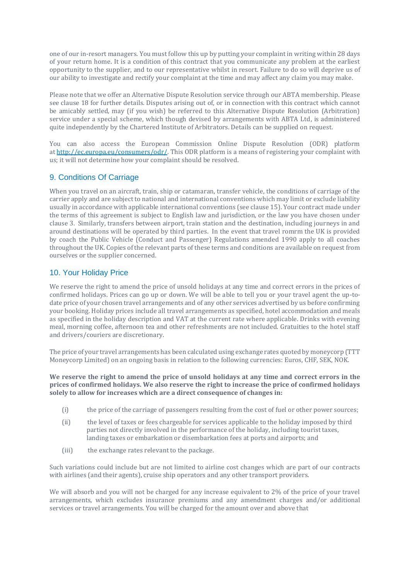one of our in-resort managers. You must follow this up by putting your complaint in writing within 28 days of your return home. It is a condition of this contract that you communicate any problem at the earliest opportunity to the supplier, and to our representative whilst in resort. Failure to do so will deprive us of our ability to investigate and rectify your complaint at the time and may affect any claim you may make.

Please note that we offer an Alternative Dispute Resolution service through our ABTA membership. Please see clause 18 for further details. Disputes arising out of, or in connection with this contract which cannot be amicably settled, may (if you wish) be referred to this Alternative Dispute Resolution (Arbitration) service under a special scheme, which though devised by arrangements with ABTA Ltd, is administered quite independently by the Chartered Institute of Arbitrators. Details can be supplied on request.

You can also access the European Commission Online Dispute Resolution (ODR) platform at [http://ec.europa.eu/consumers/odr/.](http://ec.europa.eu/consumers/odr/) This ODR platform is a means of registering your complaint with us; it will not determine how your complaint should be resolved.

## 9. Conditions Of Carriage

When you travel on an aircraft, train, ship or catamaran, transfer vehicle, the conditions of carriage of the carrier apply and are subject to national and international conventions which may limit or exclude liability usually in accordance with applicable international conventions (see clause 15). Your contract made under the terms of this agreement is subject to English law and jurisdiction, or the law you have chosen under clause 3. Similarly, transfers between airport, train station and the destination, including journeys in and around destinations will be operated by third parties. In the event that travel romrm the UK is provided by coach the Public Vehicle (Conduct and Passenger) Regulations amended 1990 apply to all coaches throughout the UK. Copies of the relevant parts of these terms and conditions are available on request from ourselves or the supplier concerned.

## 10. Your Holiday Price

We reserve the right to amend the price of unsold holidays at any time and correct errors in the prices of confirmed holidays. Prices can go up or down. We will be able to tell you or your travel agent the up-todate price of your chosen travel arrangements and of any other services advertised by us before confirming your booking. Holiday prices include all travel arrangements as specified, hotel accommodation and meals as specified in the holiday description and VAT at the current rate where applicable. Drinks with evening meal, morning coffee, afternoon tea and other refreshments are not included. Gratuities to the hotel staff and drivers/couriers are discretionary.

The price of your travel arrangements has been calculated using exchange rates quoted by moneycorp (TTT Moneycorp Limited) on an ongoing basis in relation to the following currencies: Euros, CHF, SEK, NOK.

**We reserve the right to amend the price of unsold holidays at any time and correct errors in the prices of confirmed holidays. We also reserve the right to increase the price of confirmed holidays solely to allow for increases which are a direct consequence of changes in:**

- (i) the price of the carriage of passengers resulting from the cost of fuel or other power sources;
- (ii) the level of taxes or fees chargeable for services applicable to the holiday imposed by third parties not directly involved in the performance of the holiday, including tourist taxes, landing taxes or embarkation or disembarkation fees at ports and airports; and
- (iii) the exchange rates relevant to the package.

Such variations could include but are not limited to airline cost changes which are part of our contracts with airlines (and their agents), cruise ship operators and any other transport providers.

We will absorb and you will not be charged for any increase equivalent to 2% of the price of your travel arrangements, which excludes insurance premiums and any amendment charges and/or additional services or travel arrangements. You will be charged for the amount over and above that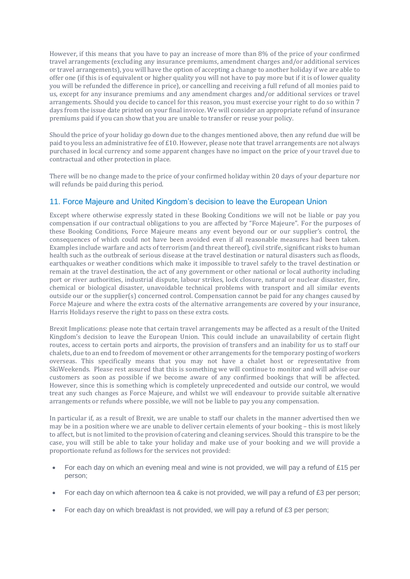However, if this means that you have to pay an increase of more than 8% of the price of your confirmed travel arrangements (excluding any insurance premiums, amendment charges and/or additional services or travel arrangements), you will have the option of accepting a change to another holiday if we are able to offer one (if this is of equivalent or higher quality you will not have to pay more but if it is of lower quality you will be refunded the difference in price), or cancelling and receiving a full refund of all monies paid to us, except for any insurance premiums and any amendment charges and/or additional services or travel arrangements. Should you decide to cancel for this reason, you must exercise your right to do so within 7 days from the issue date printed on your final invoice. We will consider an appropriate refund of insurance premiums paid if you can show that you are unable to transfer or reuse your policy.

Should the price of your holiday go down due to the changes mentioned above, then any refund due will be paid to you less an administrative fee of £10. However, please note that travel arrangements are not always purchased in local currency and some apparent changes have no impact on the price of your travel due to contractual and other protection in place.

There will be no change made to the price of your confirmed holiday within 20 days of your departure nor will refunds be paid during this period.

#### 11. Force Majeure and United Kingdom's decision to leave the European Union

Except where otherwise expressly stated in these Booking Conditions we will not be liable or pay you compensation if our contractual obligations to you are affected by "Force Majeure". For the purposes of these Booking Conditions, Force Majeure means any event beyond our or our supplier's control, the consequences of which could not have been avoided even if all reasonable measures had been taken. Examples include warfare and acts of terrorism (and threat thereof), civil strife, significant risks to human health such as the outbreak of serious disease at the travel destination or natural disasters such as floods, earthquakes or weather conditions which make it impossible to travel safely to the travel destination or remain at the travel destination, the act of any government or other national or local authority including port or river authorities, industrial dispute, labour strikes, lock closure, natural or nuclear disaster, fire, chemical or biological disaster, unavoidable technical problems with transport and all similar events outside our or the supplier(s) concerned control. Compensation cannot be paid for any changes caused by Force Majeure and where the extra costs of the alternative arrangements are covered by your insurance, Harris Holidays reserve the right to pass on these extra costs.

Brexit Implications: please note that certain travel arrangements may be affected as a result of the United Kingdom's decision to leave the European Union. This could include an unavailability of certain flight routes, access to certain ports and airports, the provision of transfers and an inability for us to staff our chalets, due to an end to freedom of movement or other arrangements for the temporary posting of workers overseas. This specifically means that you may not have a chalet host or representative from SkiWeekends. Please rest assured that this is something we will continue to monitor and will advise our customers as soon as possible if we become aware of any confirmed bookings that will be affected. However, since this is something which is completely unprecedented and outside our control, we would treat any such changes as Force Majeure, and whilst we will endeavour to provide suitable alternative arrangements or refunds where possible, we will not be liable to pay you any compensation.

In particular if, as a result of Brexit, we are unable to staff our chalets in the manner advertised then we may be in a position where we are unable to deliver certain elements of your booking – this is most likely to affect, but is not limited to the provision of catering and cleaning services. Should this transpire to be the case, you will still be able to take your holiday and make use of your booking and we will provide a proportionate refund as follows for the services not provided:

- For each day on which an evening meal and wine is not provided, we will pay a refund of £15 per person;
- For each day on which afternoon tea & cake is not provided, we will pay a refund of £3 per person;
- For each day on which breakfast is not provided, we will pay a refund of £3 per person;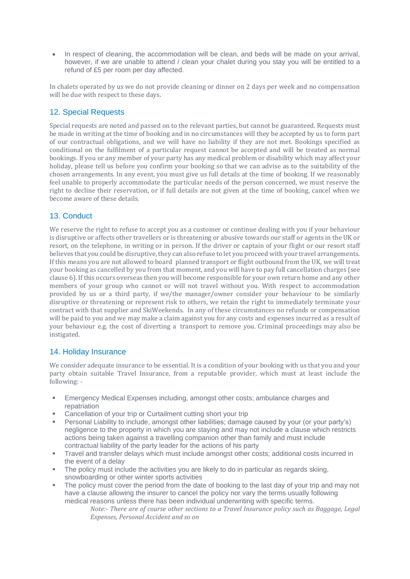• In respect of cleaning, the accommodation will be clean, and beds will be made on your arrival, however, if we are unable to attend / clean your chalet during you stay you will be entitled to a refund of £5 per room per day affected.

In chalets operated by us we do not provide cleaning or dinner on 2 days per week and no compensation will be due with respect to these days.

#### 12. Special Requests

Special requests are noted and passed on to the relevant parties, but cannot be guaranteed. Requests must be made in writing at the time of booking and in no circumstances will they be accepted by us to form part of our contractual obligations, and we will have no liability if they are not met. Bookings specified as conditional on the fulfilment of a particular request cannot be accepted and will be treated as normal bookings. If you or any member of your party has any medical problem or disability which may affect your holiday, please tell us before you confirm your booking so that we can advise as to the suitability of the chosen arrangements. In any event, you must give us full details at the time of booking. If we reasonably feel unable to properly accommodate the particular needs of the person concerned, we must reserve the right to decline their reservation, or if full details are not given at the time of booking, cancel when we become aware of these details.

## 13. Conduct

We reserve the right to refuse to accept you as a customer or continue dealing with you if your behaviour is disruptive or affects other travellers or is threatening or abusive towards our staff or agents in the UK or resort, on the telephone, in writing or in person. If the driver or captain of your flight or our resort staff believes that you could be disruptive, they can also refuse to let you proceed with your travel arrangements. If this means you are not allowed to board planned transport or flight outbound from the UK, we will treat your booking as cancelled by you from that moment, and you will have to pay full cancellation charges (see clause 6). If this occurs overseas then you will become responsible for your own return home and any other members of your group who cannot or will not travel without you. With respect to accommodation provided by us or a third party, if we/the manager/owner consider your behaviour to be similarly disruptive or threatening or represent risk to others, we retain the right to immediately terminate your contract with that supplier and SkiWeekends. In any of these circumstances no refunds or compensation will be paid to you and we may make a claim against you for any costs and expenses incurred as a result of your behaviour e.g. the cost of diverting a transport to remove you. Criminal proceedings may also be instigated.

#### 14. Holiday Insurance

We consider adequate insurance to be essential. It is a condition of your booking with us that you and your party obtain suitable Travel Insurance, from a reputable provider, which must at least include the following: -

- Emergency Medical Expenses including, amongst other costs; ambulance charges and repatriation
- Cancellation of your trip or Curtailment cutting short your trip
- Personal Liability to include, amongst other liabilities; damage caused by your (or your party's) negligence to the property in which you are staying and may not include a clause which restricts actions being taken against a travelling companion other than family and must include contractual liability of the party leader for the actions of his party
- Travel and transfer delays which must include amongst other costs; additional costs incurred in the event of a delay
- The policy must include the activities you are likely to do in particular as regards skiing, snowboarding or other winter sports activities
- The policy must cover the period from the date of booking to the last day of your trip and may not have a clause allowing the insurer to cancel the policy nor vary the terms usually following medical reasons unless there has been individual underwriting with specific terms.

*Note:- There are of course other sections to a Travel Insurance policy such as Baggage, Legal Expenses, Personal Accident and so on*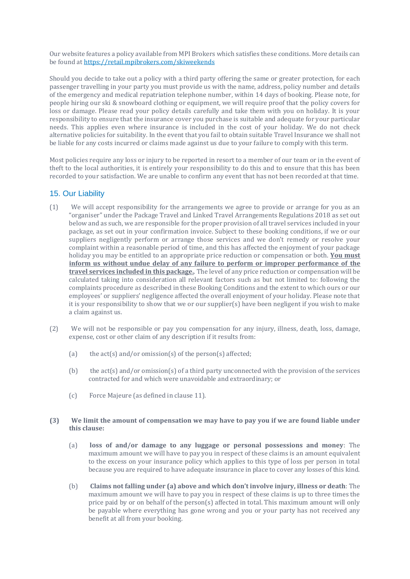Our website features a policy available from MPI Brokers which satisfies these conditions. More details can be found at <https://retail.mpibrokers.com/skiweekends>

Should you decide to take out a policy with a third party offering the same or greater protection, for each passenger travelling in your party you must provide us with the name, address, policy number and details of the emergency and medical repatriation telephone number, within 14 days of booking. Please note, for people hiring our ski & snowboard clothing or equipment, we will require proof that the policy covers for loss or damage. Please read your policy details carefully and take them with you on holiday. It is your responsibility to ensure that the insurance cover you purchase is suitable and adequate for your particular needs. This applies even where insurance is included in the cost of your holiday. We do not check alternative policies for suitability. In the event that you fail to obtain suitable Travel Insurance we shall not be liable for any costs incurred or claims made against us due to your failure to comply with this term.

Most policies require any loss or injury to be reported in resort to a member of our team or in the event of theft to the local authorities, it is entirely your responsibility to do this and to ensure that this has been recorded to your satisfaction. We are unable to confirm any event that has not been recorded at that time.

## 15. Our Liability

- (1) We will accept responsibility for the arrangements we agree to provide or arrange for you as an "organiser" under the Package Travel and Linked Travel Arrangements Regulations 2018 as set out below and as such, we are responsible for the proper provision of all travel services included in your package, as set out in your confirmation invoice. Subject to these booking conditions, if we or our suppliers negligently perform or arrange those services and we don't remedy or resolve your complaint within a reasonable period of time, and this has affected the enjoyment of your package holiday you may be entitled to an appropriate price reduction or compensation or both. **You must inform us without undue delay of any failure to perform or improper performance of the travel services included in this package.**. The level of any price reduction or compensation will be calculated taking into consideration all relevant factors such as but not limited to: following the complaints procedure as described in these Booking Conditions and the extent to which ours or our employees' or suppliers' negligence affected the overall enjoyment of your holiday. Please note that it is your responsibility to show that we or our supplier(s) have been negligent if you wish to make a claim against us.
- (2) We will not be responsible or pay you compensation for any injury, illness, death, loss, damage, expense, cost or other claim of any description if it results from:
	- (a) the  $act(s)$  and/or omission(s) of the person(s) affected;
	- (b) the act(s) and/or omission(s) of a third party unconnected with the provision of the services contracted for and which were unavoidable and extraordinary; or
	- (c) Force Majeure (as defined in clause 11).

#### **(3) We limit the amount of compensation we may have to pay you if we are found liable under this clause:**

- (a) **loss of and/or damage to any luggage or personal possessions and money**: The maximum amount we will have to pay you in respect of these claims is an amount equivalent to the excess on your insurance policy which applies to this type of loss per person in total because you are required to have adequate insurance in place to cover any losses of this kind.
- (b) **Claims not falling under (a) above and which don't involve injury, illness or death**: The maximum amount we will have to pay you in respect of these claims is up to three times the price paid by or on behalf of the person(s) affected in total. This maximum amount will only be payable where everything has gone wrong and you or your party has not received any benefit at all from your booking.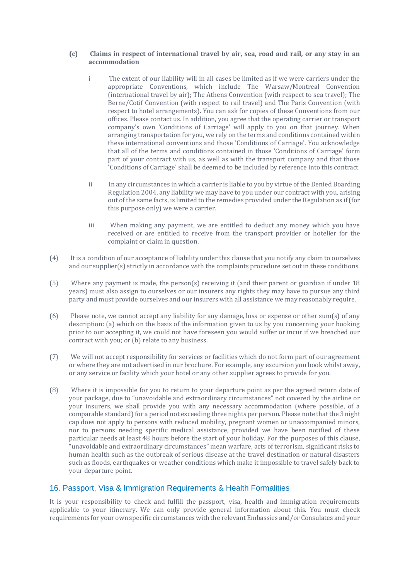#### **(c) Claims in respect of international travel by air, sea, road and rail, or any stay in an accommodation**

- i The extent of our liability will in all cases be limited as if we were carriers under the appropriate Conventions, which include The Warsaw/Montreal Convention (international travel by air); The Athens Convention (with respect to sea travel); The Berne/Cotif Convention (with respect to rail travel) and The Paris Convention (with respect to hotel arrangements). You can ask for copies of these Conventions from our offices. Please contact us. In addition, you agree that the operating carrier or transport company's own 'Conditions of Carriage' will apply to you on that journey. When arranging transportation for you, we rely on the terms and conditions contained within these international conventions and those 'Conditions of Carriage'. You acknowledge that all of the terms and conditions contained in those 'Conditions of Carriage' form part of your contract with us, as well as with the transport company and that those 'Conditions of Carriage' shall be deemed to be included by reference into this contract.
- ii In any circumstances in which a carrier is liable to you by virtue of the Denied Boarding Regulation 2004, any liability we may have to you under our contract with you, arising out of the same facts, is limited to the remedies provided under the Regulation as if (for this purpose only) we were a carrier.
- iii When making any payment, we are entitled to deduct any money which you have received or are entitled to receive from the transport provider or hotelier for the complaint or claim in question.
- (4) It is a condition of our acceptance of liability under this clause that you notify any claim to ourselves and our supplier(s) strictly in accordance with the complaints procedure set out in these conditions.
- (5) Where any payment is made, the person(s) receiving it (and their parent or guardian if under 18 years) must also assign to ourselves or our insurers any rights they may have to pursue any third party and must provide ourselves and our insurers with all assistance we may reasonably require.
- (6) Please note, we cannot accept any liability for any damage, loss or expense or other sum(s) of any description: (a) which on the basis of the information given to us by you concerning your booking prior to our accepting it, we could not have foreseen you would suffer or incur if we breached our contract with you; or (b) relate to any business.
- (7) We will not accept responsibility for services or facilities which do not form part of our agreement or where they are not advertised in our brochure. For example, any excursion you book whilst away, or any service or facility which your hotel or any other supplier agrees to provide for you.
- (8) Where it is impossible for you to return to your departure point as per the agreed return date of your package, due to "unavoidable and extraordinary circumstances" not covered by the airline or your insurers, we shall provide you with any necessary accommodation (where possible, of a comparable standard) for a period not exceeding three nights per person. Please note that the 3 night cap does not apply to persons with reduced mobility, pregnant women or unaccompanied minors, nor to persons needing specific medical assistance, provided we have been notified of these particular needs at least 48 hours before the start of your holiday. For the purposes of this clause, "unavoidable and extraordinary circumstances" mean warfare, acts of terrorism, significant risks to human health such as the outbreak of serious disease at the travel destination or natural disasters such as floods, earthquakes or weather conditions which make it impossible to travel safely back to your departure point.

#### 16. Passport, Visa & Immigration Requirements & Health Formalities

It is your responsibility to check and fulfill the passport, visa, health and immigration requirements applicable to your itinerary. We can only provide general information about this. You must check requirements for your own specific circumstances with the relevant Embassies and/or Consulates and your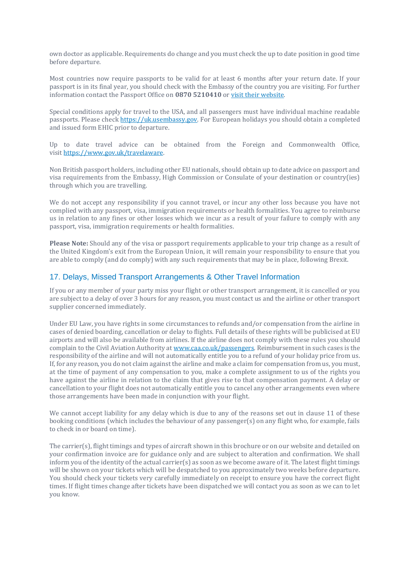own doctor as applicable. Requirements do change and you must check the up to date position in good time before departure.

Most countries now require passports to be valid for at least 6 months after your return date. If your passport is in its final year, you should check with the Embassy of the country you are visiting. For further information contact the Passport Office on **0870 5210410** or [visit their website.](https://www.gov.uk/browse/abroad/passports)

Special conditions apply for travel to the USA, and all passengers must have individual machine readable passports. Please check [https://uk.usembassy.gov.](https://uk.usembassy.gov/) For European holidays you should obtain a completed and issued form EHIC prior to departure.

Up to date travel advice can be obtained from the Foreign and Commonwealth Office, visit [https://www.gov.uk/travelaware.](https://www.gov.uk/travelaware)

Non British passport holders, including other EU nationals, should obtain up to date advice on passport and visa requirements from the Embassy, High Commission or Consulate of your destination or country(ies) through which you are travelling.

We do not accept any responsibility if you cannot travel, or incur any other loss because you have not complied with any passport, visa, immigration requirements or health formalities. You agree to reimburse us in relation to any fines or other losses which we incur as a result of your failure to comply with any passport, visa, immigration requirements or health formalities.

**Please Note:** Should any of the visa or passport requirements applicable to your trip change as a result of the United Kingdom's exit from the European Union, it will remain your responsibility to ensure that you are able to comply (and do comply) with any such requirements that may be in place, following Brexit.

#### 17. Delays, Missed Transport Arrangements & Other Travel Information

If you or any member of your party miss your flight or other transport arrangement, it is cancelled or you are subject to a delay of over 3 hours for any reason, you must contact us and the airline or other transport supplier concerned immediately.

Under EU Law, you have rights in some circumstances to refunds and/or compensation from the airline in cases of denied boarding, cancellation or delay to flights. Full details of these rights will be publicised at EU airports and will also be available from airlines. If the airline does not comply with these rules you should complain to the Civil Aviation Authority at [www.caa.co.uk/passengers.](http://www.caa.co.uk/passengers) Reimbursement in such cases is the responsibility of the airline and will not automatically entitle you to a refund of your holiday price from us. If, for any reason, you do not claim against the airline and make a claim for compensation from us, you must, at the time of payment of any compensation to you, make a complete assignment to us of the rights you have against the airline in relation to the claim that gives rise to that compensation payment. A delay or cancellation to your flight does not automatically entitle you to cancel any other arrangements even where those arrangements have been made in conjunction with your flight.

We cannot accept liability for any delay which is due to any of the reasons set out in clause 11 of these booking conditions (which includes the behaviour of any passenger(s) on any flight who, for example, fails to check in or board on time).

The carrier(s), flight timings and types of aircraft shown in this brochure or on our website and detailed on your confirmation invoice are for guidance only and are subject to alteration and confirmation. We shall inform you of the identity of the actual carrier(s) as soon as we become aware of it. The latest flight timings will be shown on your tickets which will be despatched to you approximately two weeks before departure. You should check your tickets very carefully immediately on receipt to ensure you have the correct flight times. If flight times change after tickets have been dispatched we will contact you as soon as we can to let you know.